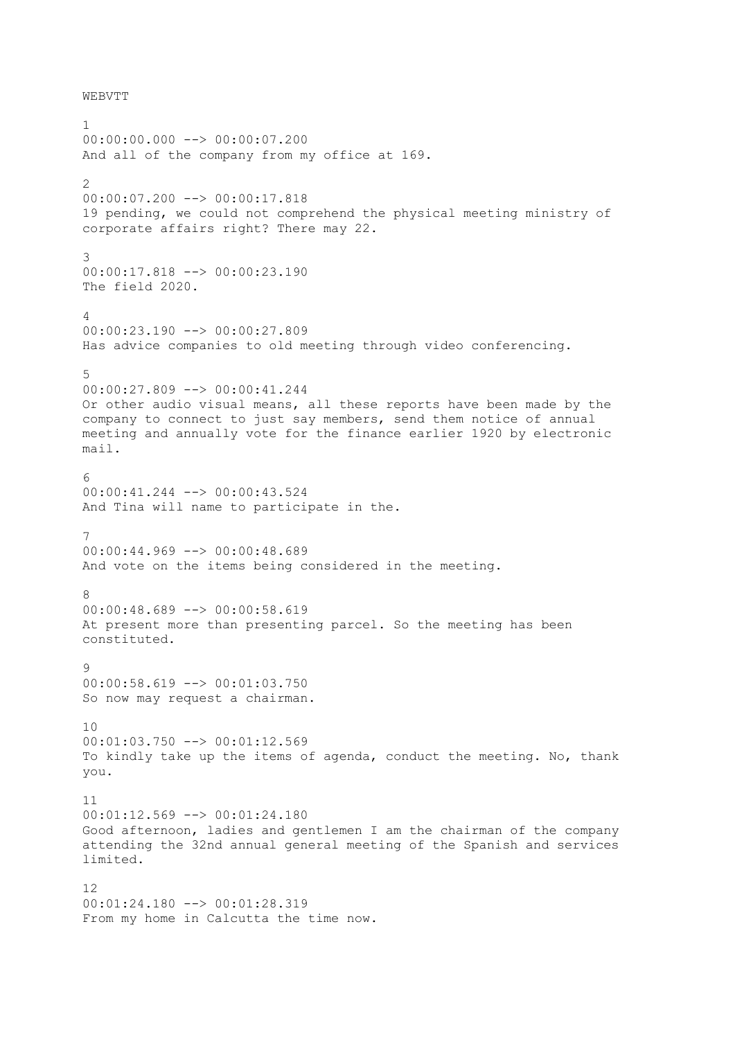WEBVTT

1 00:00:00.000 --> 00:00:07.200 And all of the company from my office at 169. 2 00:00:07.200 --> 00:00:17.818 19 pending, we could not comprehend the physical meeting ministry of corporate affairs right? There may 22. 3 00:00:17.818 --> 00:00:23.190 The field 2020. 4 00:00:23.190 --> 00:00:27.809 Has advice companies to old meeting through video conferencing. 5  $00:00:27.809$  -->  $00:00:41.244$ Or other audio visual means, all these reports have been made by the company to connect to just say members, send them notice of annual meeting and annually vote for the finance earlier 1920 by electronic mail. 6 00:00:41.244 --> 00:00:43.524 And Tina will name to participate in the. 7 00:00:44.969 --> 00:00:48.689 And vote on the items being considered in the meeting. 8 00:00:48.689 --> 00:00:58.619 At present more than presenting parcel. So the meeting has been constituted.  $\alpha$ 00:00:58.619 --> 00:01:03.750 So now may request a chairman.  $1<sub>0</sub>$ 00:01:03.750 --> 00:01:12.569 To kindly take up the items of agenda, conduct the meeting. No, thank you. 11 00:01:12.569 --> 00:01:24.180 Good afternoon, ladies and gentlemen I am the chairman of the company attending the 32nd annual general meeting of the Spanish and services limited. 12 00:01:24.180 --> 00:01:28.319 From my home in Calcutta the time now.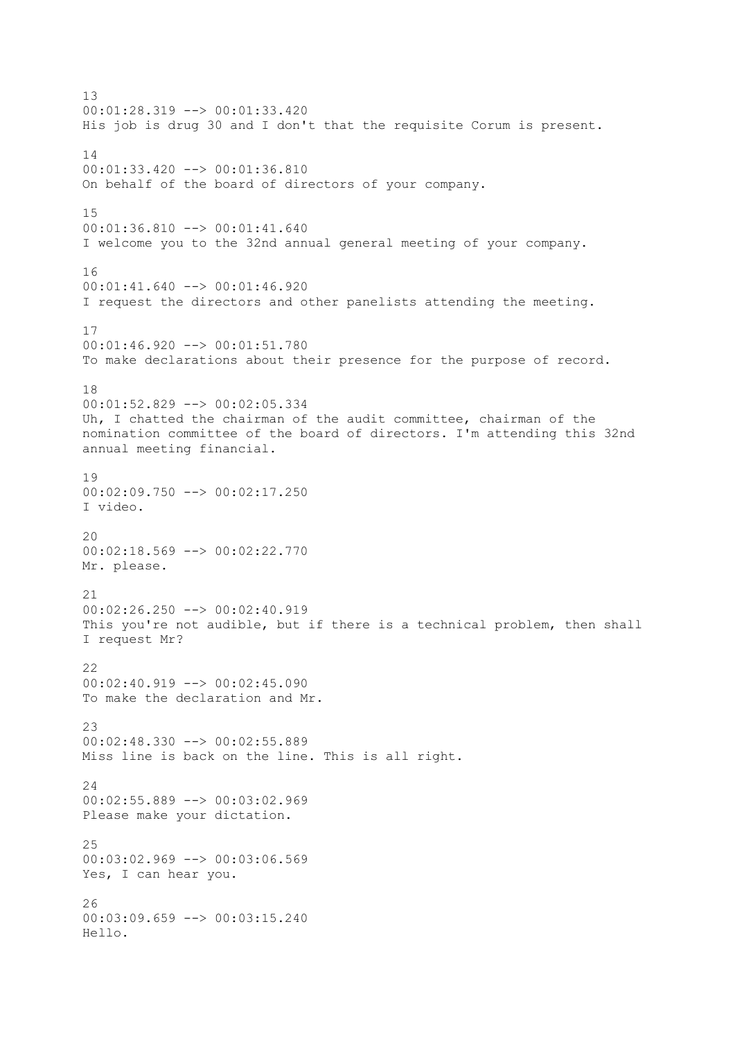13 00:01:28.319 --> 00:01:33.420 His job is drug 30 and I don't that the requisite Corum is present. 14 00:01:33.420 --> 00:01:36.810 On behalf of the board of directors of your company. 15 00:01:36.810 --> 00:01:41.640 I welcome you to the 32nd annual general meeting of your company. 16  $00:01:41.640$  -->  $00:01:46.920$ I request the directors and other panelists attending the meeting. 17 00:01:46.920 --> 00:01:51.780 To make declarations about their presence for the purpose of record. 18 00:01:52.829 --> 00:02:05.334 Uh, I chatted the chairman of the audit committee, chairman of the nomination committee of the board of directors. I'm attending this 32nd annual meeting financial. 19  $00:02:09.750$  -->  $00:02:17.250$ I video. 20 00:02:18.569 --> 00:02:22.770 Mr. please. 21 00:02:26.250 --> 00:02:40.919 This you're not audible, but if there is a technical problem, then shall I request Mr? 22  $00:02:40.919$  -->  $00:02:45.090$ To make the declaration and Mr.  $23$ 00:02:48.330 --> 00:02:55.889 Miss line is back on the line. This is all right. 24 00:02:55.889 --> 00:03:02.969 Please make your dictation. 25 00:03:02.969 --> 00:03:06.569 Yes, I can hear you. 26 00:03:09.659 --> 00:03:15.240 Hello.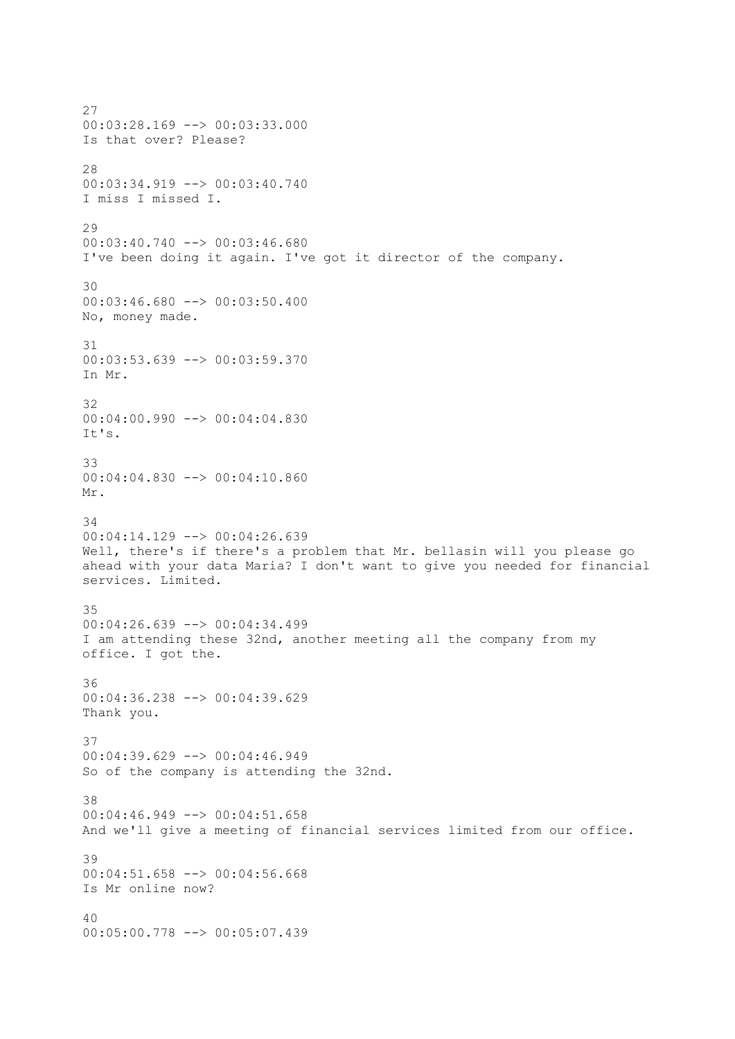27 00:03:28.169 --> 00:03:33.000 Is that over? Please? 28  $00:03:34.919$  -->  $00:03:40.740$ I miss I missed I.  $29$ 00:03:40.740 --> 00:03:46.680 I've been doing it again. I've got it director of the company. 30 00:03:46.680 --> 00:03:50.400 No, money made. 31 00:03:53.639 --> 00:03:59.370 In Mr. 32 00:04:00.990 --> 00:04:04.830 It's. 33 00:04:04.830 --> 00:04:10.860 Mr. 34 00:04:14.129 --> 00:04:26.639 Well, there's if there's a problem that Mr. bellasin will you please go ahead with your data Maria? I don't want to give you needed for financial services. Limited. 35 00:04:26.639 --> 00:04:34.499 I am attending these 32nd, another meeting all the company from my office. I got the. 36 00:04:36.238 --> 00:04:39.629 Thank you. 37 00:04:39.629 --> 00:04:46.949 So of the company is attending the 32nd. 38 00:04:46.949 --> 00:04:51.658 And we'll give a meeting of financial services limited from our office. 39 00:04:51.658 --> 00:04:56.668 Is Mr online now? 40 00:05:00.778 --> 00:05:07.439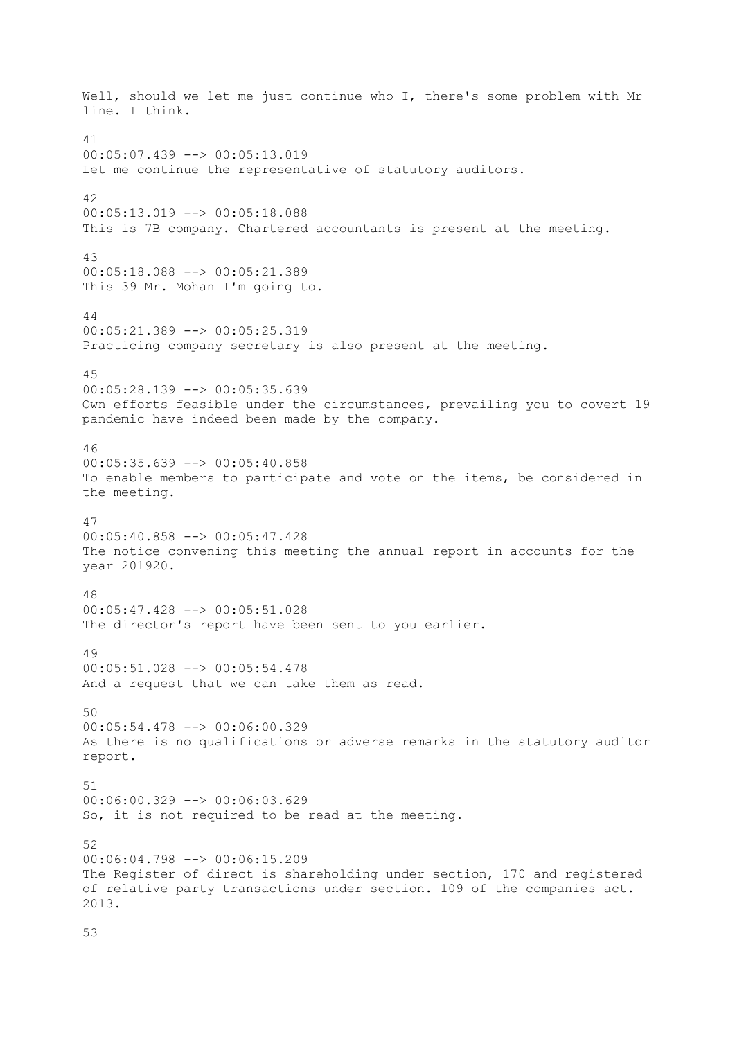Well, should we let me just continue who I, there's some problem with Mr line. I think. 41 00:05:07.439 --> 00:05:13.019 Let me continue the representative of statutory auditors. 42 00:05:13.019 --> 00:05:18.088 This is 7B company. Chartered accountants is present at the meeting. 43 00:05:18.088 --> 00:05:21.389 This 39 Mr. Mohan I'm going to. 44 00:05:21.389 --> 00:05:25.319 Practicing company secretary is also present at the meeting. 45  $00:05:28.139$  -->  $00:05:35.639$ Own efforts feasible under the circumstances, prevailing you to covert 19 pandemic have indeed been made by the company. 46 00:05:35.639 --> 00:05:40.858 To enable members to participate and vote on the items, be considered in the meeting. 47  $00:05:40.858$   $\leftarrow$   $>$  00:05:47.428 The notice convening this meeting the annual report in accounts for the year 201920. 48 00:05:47.428 --> 00:05:51.028 The director's report have been sent to you earlier. 49 00:05:51.028 --> 00:05:54.478 And a request that we can take them as read.  $50$ 00:05:54.478 --> 00:06:00.329 As there is no qualifications or adverse remarks in the statutory auditor report. 51 00:06:00.329 --> 00:06:03.629 So, it is not required to be read at the meeting. 52 00:06:04.798 --> 00:06:15.209 The Register of direct is shareholding under section, 170 and registered of relative party transactions under section. 109 of the companies act. 2013.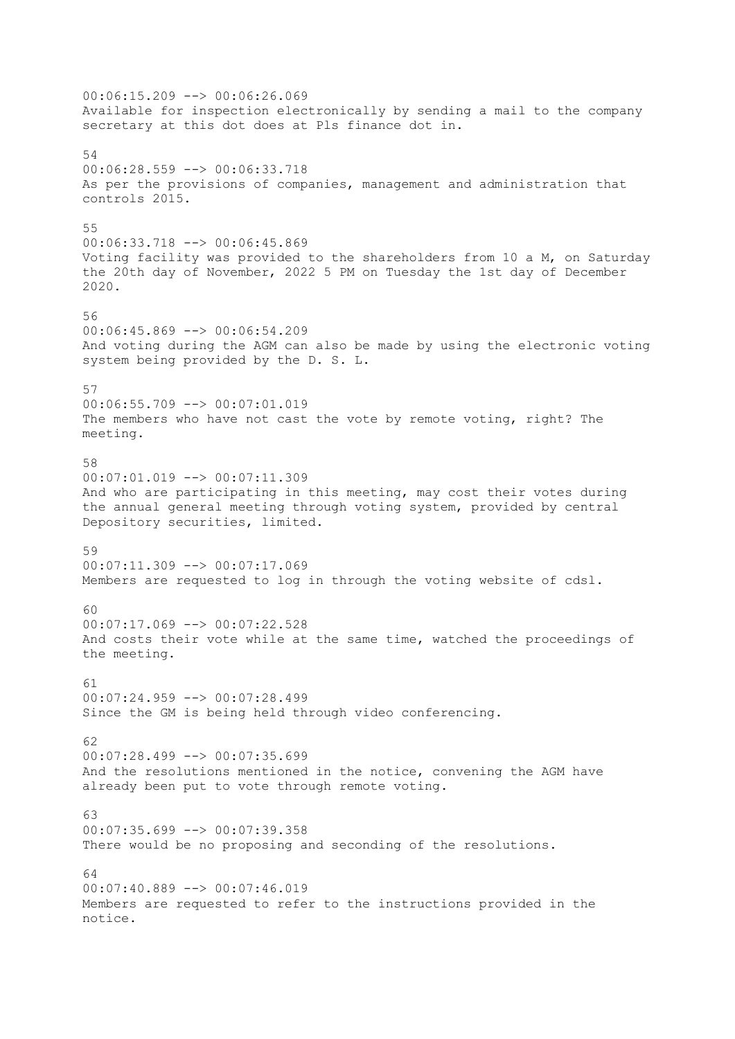00:06:15.209 --> 00:06:26.069 Available for inspection electronically by sending a mail to the company secretary at this dot does at Pls finance dot in. 54 00:06:28.559 --> 00:06:33.718 As per the provisions of companies, management and administration that controls 2015. 55 00:06:33.718 --> 00:06:45.869 Voting facility was provided to the shareholders from 10 a M, on Saturday the 20th day of November, 2022 5 PM on Tuesday the 1st day of December 2020. 56 00:06:45.869 --> 00:06:54.209 And voting during the AGM can also be made by using the electronic voting system being provided by the D. S. L. 57 00:06:55.709 --> 00:07:01.019 The members who have not cast the vote by remote voting, right? The meeting. 58 00:07:01.019 --> 00:07:11.309 And who are participating in this meeting, may cost their votes during the annual general meeting through voting system, provided by central Depository securities, limited. 59  $00:07:11.309$  -->  $00:07:17.069$ Members are requested to log in through the voting website of cdsl. 60 00:07:17.069 --> 00:07:22.528 And costs their vote while at the same time, watched the proceedings of the meeting. 61 00:07:24.959 --> 00:07:28.499 Since the GM is being held through video conferencing.  $62$ 00:07:28.499 --> 00:07:35.699 And the resolutions mentioned in the notice, convening the AGM have already been put to vote through remote voting. 63 00:07:35.699 --> 00:07:39.358 There would be no proposing and seconding of the resolutions. 64 00:07:40.889 --> 00:07:46.019 Members are requested to refer to the instructions provided in the notice.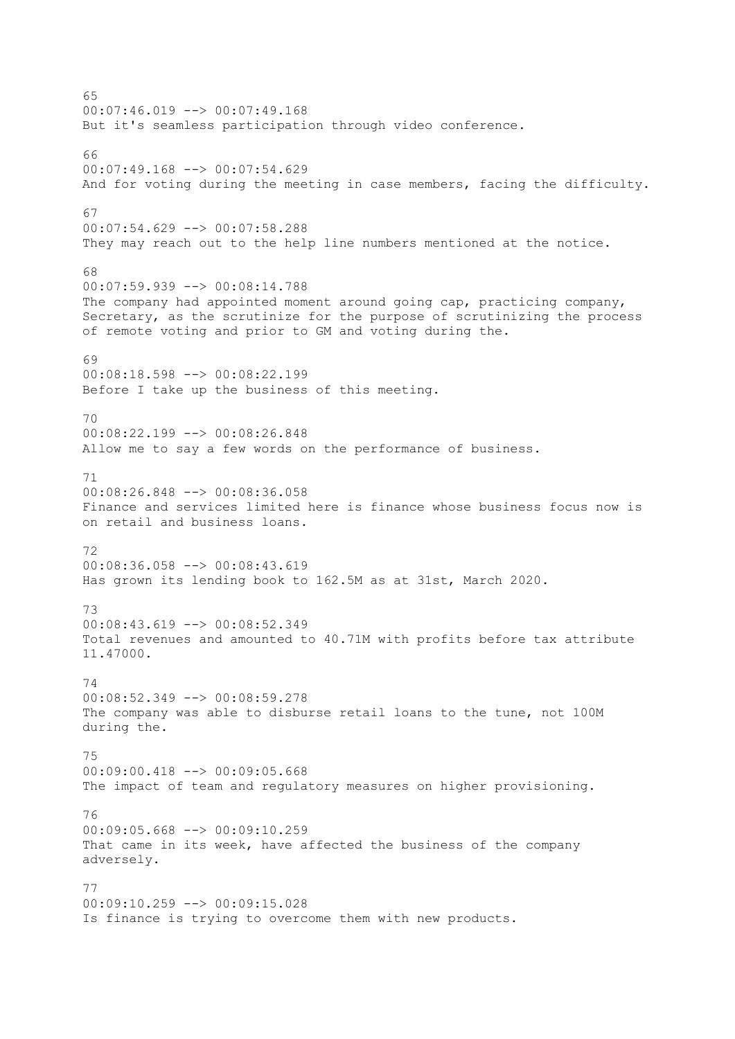65 00:07:46.019 --> 00:07:49.168 But it's seamless participation through video conference. 66  $00:07:49.168$  -->  $00:07:54.629$ And for voting during the meeting in case members, facing the difficulty. 67 00:07:54.629 --> 00:07:58.288 They may reach out to the help line numbers mentioned at the notice.  $68$ 00:07:59.939 --> 00:08:14.788 The company had appointed moment around going cap, practicing company, Secretary, as the scrutinize for the purpose of scrutinizing the process of remote voting and prior to GM and voting during the. 69 00:08:18.598 --> 00:08:22.199 Before I take up the business of this meeting. 70 00:08:22.199 --> 00:08:26.848 Allow me to say a few words on the performance of business. 71 00:08:26.848 --> 00:08:36.058 Finance and services limited here is finance whose business focus now is on retail and business loans. 72 00:08:36.058 --> 00:08:43.619 Has grown its lending book to 162.5M as at 31st, March 2020. 73 00:08:43.619 --> 00:08:52.349 Total revenues and amounted to 40.71M with profits before tax attribute 11.47000. 74 00:08:52.349 --> 00:08:59.278 The company was able to disburse retail loans to the tune, not 100M during the. 75 00:09:00.418 --> 00:09:05.668 The impact of team and regulatory measures on higher provisioning. 76 00:09:05.668 --> 00:09:10.259 That came in its week, have affected the business of the company adversely. 77 00:09:10.259 --> 00:09:15.028 Is finance is trying to overcome them with new products.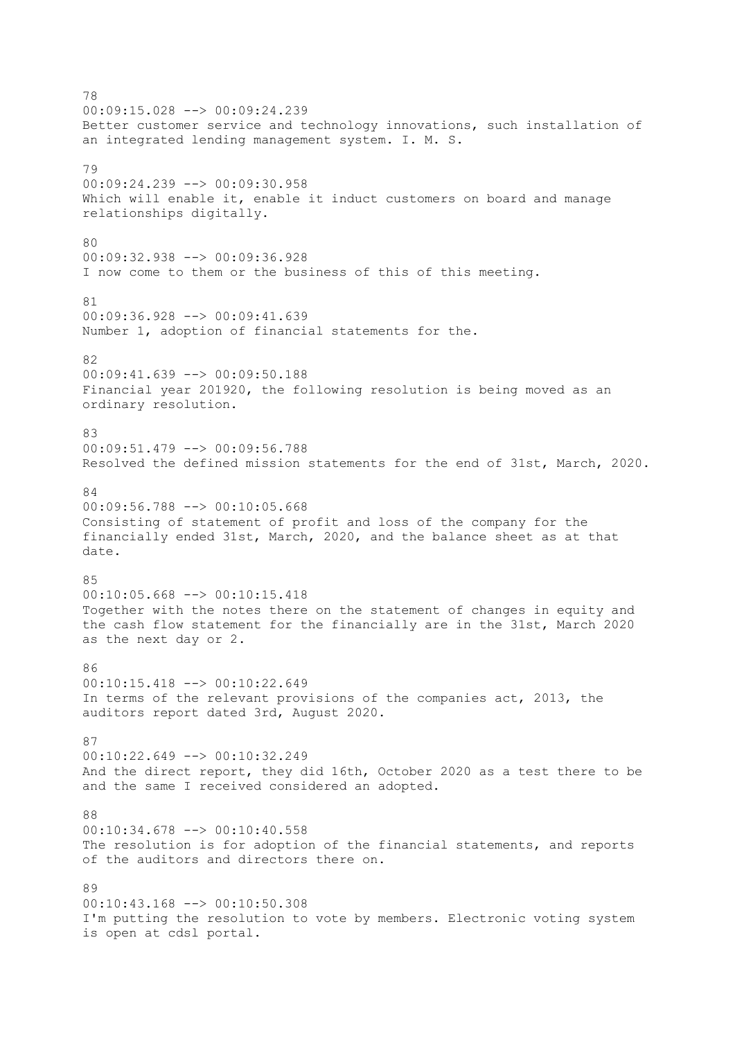78 00:09:15.028 --> 00:09:24.239 Better customer service and technology innovations, such installation of an integrated lending management system. I. M. S. 79 00:09:24.239 --> 00:09:30.958 Which will enable it, enable it induct customers on board and manage relationships digitally. 80 00:09:32.938 --> 00:09:36.928 I now come to them or the business of this of this meeting. 81 00:09:36.928 --> 00:09:41.639 Number 1, adoption of financial statements for the. 82 00:09:41.639 --> 00:09:50.188 Financial year 201920, the following resolution is being moved as an ordinary resolution. 83 00:09:51.479 --> 00:09:56.788 Resolved the defined mission statements for the end of 31st, March, 2020.  $84$ 00:09:56.788 --> 00:10:05.668 Consisting of statement of profit and loss of the company for the financially ended 31st, March, 2020, and the balance sheet as at that date. 85 00:10:05.668 --> 00:10:15.418 Together with the notes there on the statement of changes in equity and the cash flow statement for the financially are in the 31st, March 2020 as the next day or 2. 86 00:10:15.418 --> 00:10:22.649 In terms of the relevant provisions of the companies act, 2013, the auditors report dated 3rd, August 2020. 87 00:10:22.649 --> 00:10:32.249 And the direct report, they did 16th, October 2020 as a test there to be and the same I received considered an adopted. 88 00:10:34.678 --> 00:10:40.558 The resolution is for adoption of the financial statements, and reports of the auditors and directors there on. 89 00:10:43.168 --> 00:10:50.308 I'm putting the resolution to vote by members. Electronic voting system is open at cdsl portal.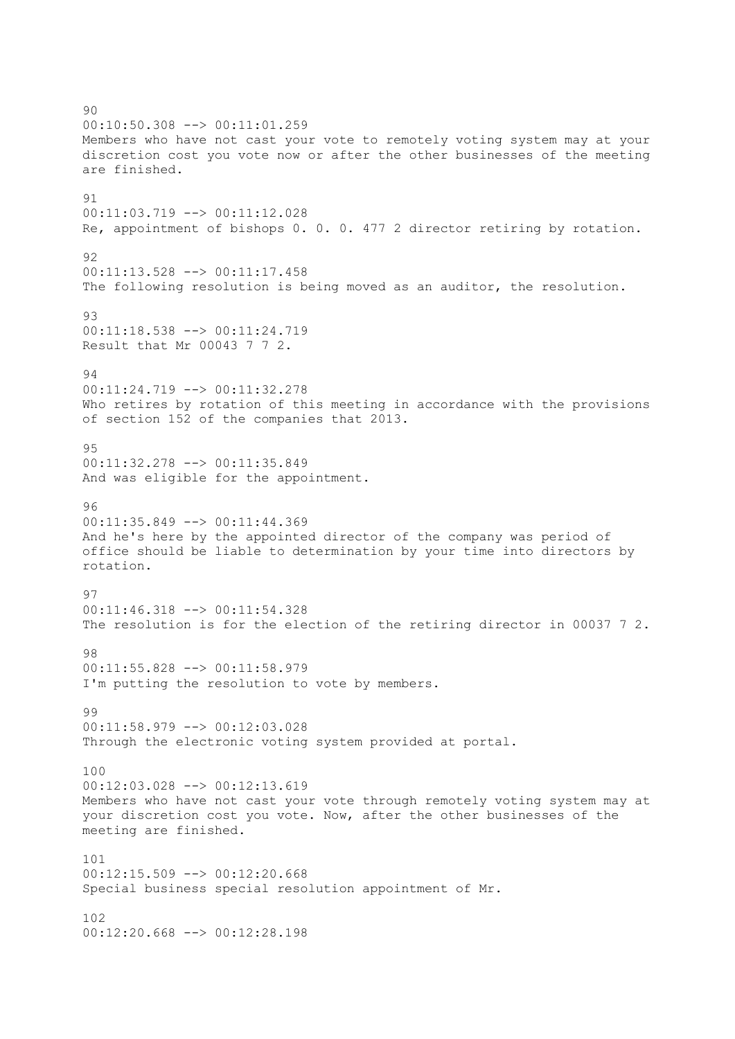90 00:10:50.308 --> 00:11:01.259 Members who have not cast your vote to remotely voting system may at your discretion cost you vote now or after the other businesses of the meeting are finished. 91 00:11:03.719 --> 00:11:12.028 Re, appointment of bishops 0. 0. 0. 477 2 director retiring by rotation. 92 00:11:13.528 --> 00:11:17.458 The following resolution is being moved as an auditor, the resolution. 93 00:11:18.538 --> 00:11:24.719 Result that Mr 00043 7 7 2. 94 00:11:24.719 --> 00:11:32.278 Who retires by rotation of this meeting in accordance with the provisions of section 152 of the companies that 2013.  $95$ 00:11:32.278 --> 00:11:35.849 And was eligible for the appointment. 96 00:11:35.849 --> 00:11:44.369 And he's here by the appointed director of the company was period of office should be liable to determination by your time into directors by rotation. 97 00:11:46.318 --> 00:11:54.328 The resolution is for the election of the retiring director in 00037 7 2. 98 00:11:55.828 --> 00:11:58.979 I'm putting the resolution to vote by members.  $99$ 00:11:58.979 --> 00:12:03.028 Through the electronic voting system provided at portal. 100 00:12:03.028 --> 00:12:13.619 Members who have not cast your vote through remotely voting system may at your discretion cost you vote. Now, after the other businesses of the meeting are finished. 101  $00:12:15.509$  -->  $00:12:20.668$ Special business special resolution appointment of Mr. 102 00:12:20.668 --> 00:12:28.198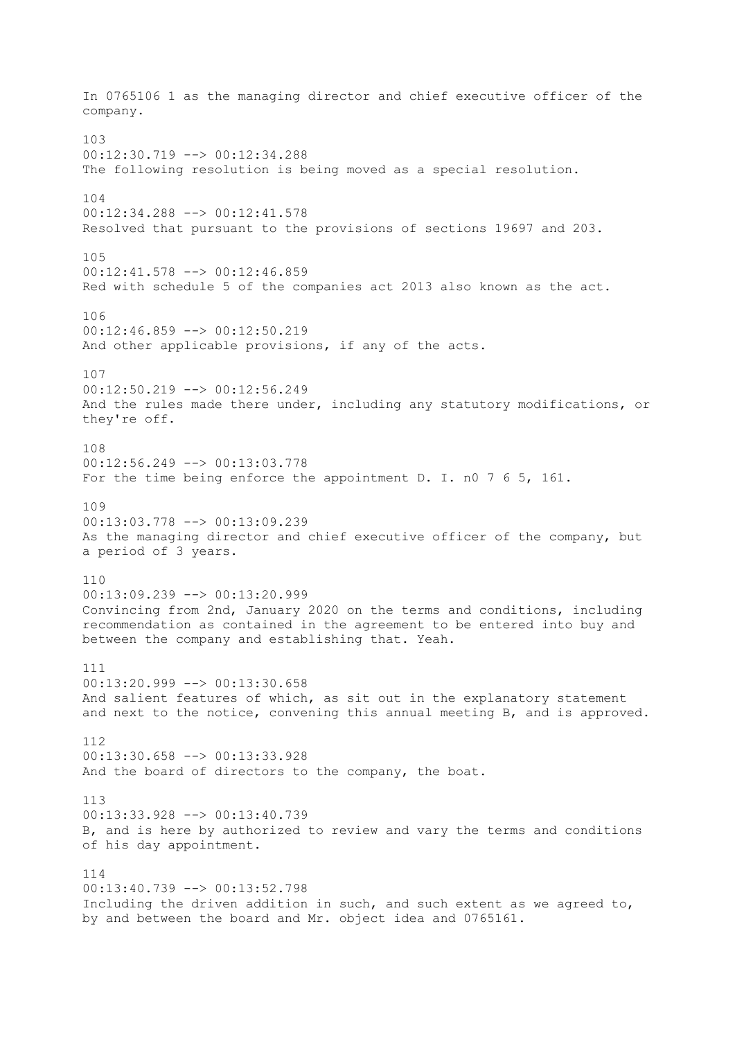In 0765106 1 as the managing director and chief executive officer of the company. 103 00:12:30.719 --> 00:12:34.288 The following resolution is being moved as a special resolution. 104 00:12:34.288 --> 00:12:41.578 Resolved that pursuant to the provisions of sections 19697 and 203. 105 00:12:41.578 --> 00:12:46.859 Red with schedule 5 of the companies act 2013 also known as the act. 106 00:12:46.859 --> 00:12:50.219 And other applicable provisions, if any of the acts. 107  $00:12:50.219$  -->  $00:12:56.249$ And the rules made there under, including any statutory modifications, or they're off. 108 00:12:56.249 --> 00:13:03.778 For the time being enforce the appointment D. I. n0 7 6 5, 161. 109 00:13:03.778 --> 00:13:09.239 As the managing director and chief executive officer of the company, but a period of 3 years. 110 00:13:09.239 --> 00:13:20.999 Convincing from 2nd, January 2020 on the terms and conditions, including recommendation as contained in the agreement to be entered into buy and between the company and establishing that. Yeah. 111  $00:13:20.999$  -->  $00:13:30.658$ And salient features of which, as sit out in the explanatory statement and next to the notice, convening this annual meeting B, and is approved. 112 00:13:30.658 --> 00:13:33.928 And the board of directors to the company, the boat. 113 00:13:33.928 --> 00:13:40.739 B, and is here by authorized to review and vary the terms and conditions of his day appointment. 114 00:13:40.739 --> 00:13:52.798 Including the driven addition in such, and such extent as we agreed to, by and between the board and Mr. object idea and 0765161.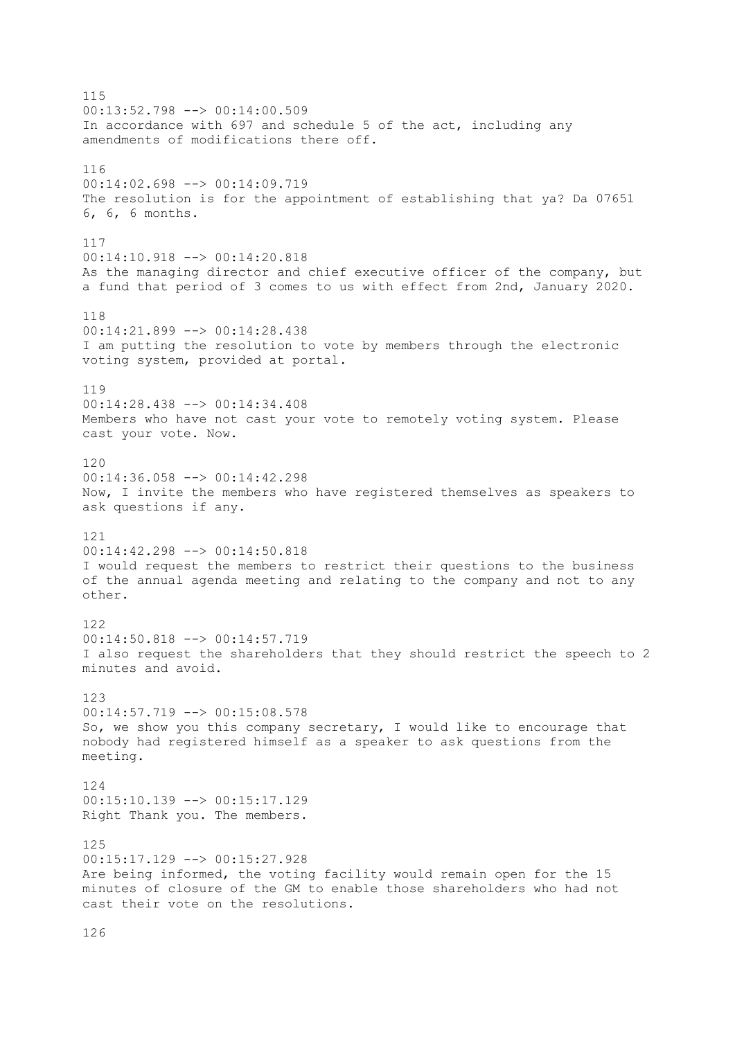115 00:13:52.798 --> 00:14:00.509 In accordance with 697 and schedule 5 of the act, including any amendments of modifications there off. 116 00:14:02.698 --> 00:14:09.719 The resolution is for the appointment of establishing that ya? Da 07651 6, 6, 6 months. 117 00:14:10.918 --> 00:14:20.818 As the managing director and chief executive officer of the company, but a fund that period of 3 comes to us with effect from 2nd, January 2020. 118 00:14:21.899 --> 00:14:28.438 I am putting the resolution to vote by members through the electronic voting system, provided at portal. 119 00:14:28.438 --> 00:14:34.408 Members who have not cast your vote to remotely voting system. Please cast your vote. Now. 120 00:14:36.058 --> 00:14:42.298 Now, I invite the members who have registered themselves as speakers to ask questions if any. 121 00:14:42.298 --> 00:14:50.818 I would request the members to restrict their questions to the business of the annual agenda meeting and relating to the company and not to any other. 122 00:14:50.818 --> 00:14:57.719 I also request the shareholders that they should restrict the speech to 2 minutes and avoid. 123  $00:14:57.719$  -->  $00:15:08.578$ So, we show you this company secretary, I would like to encourage that nobody had registered himself as a speaker to ask questions from the meeting. 124 00:15:10.139 --> 00:15:17.129 Right Thank you. The members. 125 00:15:17.129 --> 00:15:27.928 Are being informed, the voting facility would remain open for the 15 minutes of closure of the GM to enable those shareholders who had not cast their vote on the resolutions.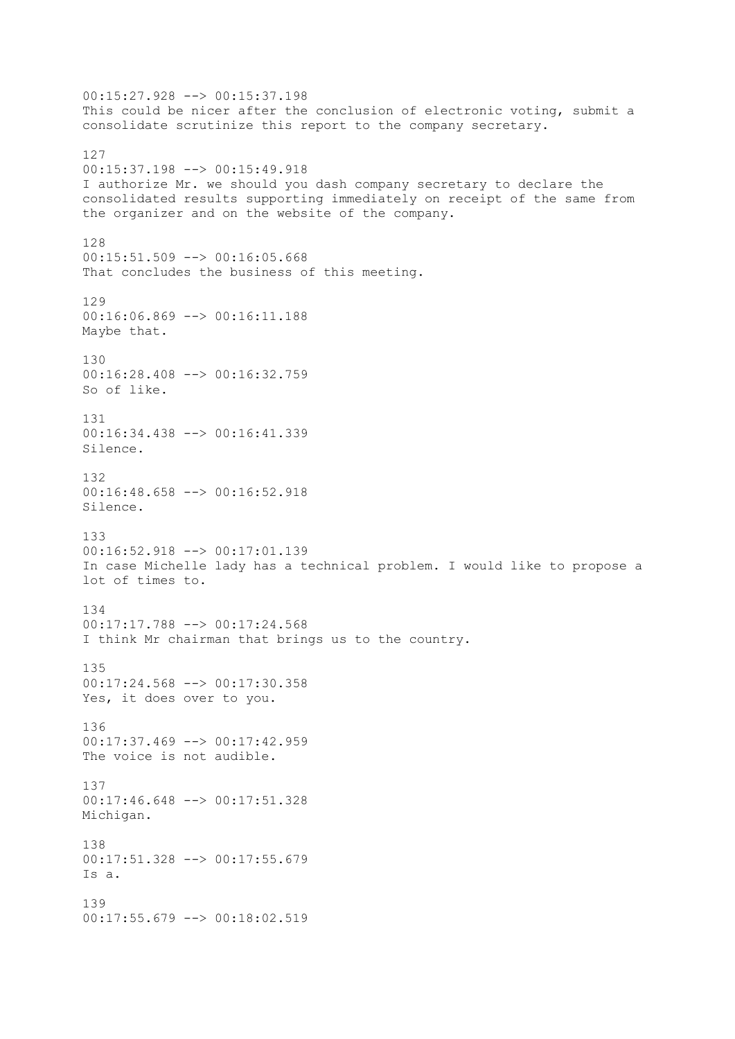00:15:27.928 --> 00:15:37.198 This could be nicer after the conclusion of electronic voting, submit a consolidate scrutinize this report to the company secretary. 127 00:15:37.198 --> 00:15:49.918 I authorize Mr. we should you dash company secretary to declare the consolidated results supporting immediately on receipt of the same from the organizer and on the website of the company. 128 00:15:51.509 --> 00:16:05.668 That concludes the business of this meeting. 129 00:16:06.869 --> 00:16:11.188 Maybe that. 130 00:16:28.408 --> 00:16:32.759 So of like. 131 00:16:34.438 --> 00:16:41.339 Silence. 132  $00:16:48.658$  -->  $00:16:52.918$ Silence. 133 00:16:52.918 --> 00:17:01.139 In case Michelle lady has a technical problem. I would like to propose a lot of times to. 134 00:17:17.788 --> 00:17:24.568 I think Mr chairman that brings us to the country. 135 00:17:24.568 --> 00:17:30.358 Yes, it does over to you. 136 00:17:37.469 --> 00:17:42.959 The voice is not audible. 137 00:17:46.648 --> 00:17:51.328 Michigan. 138 00:17:51.328 --> 00:17:55.679 Is a. 139 00:17:55.679 --> 00:18:02.519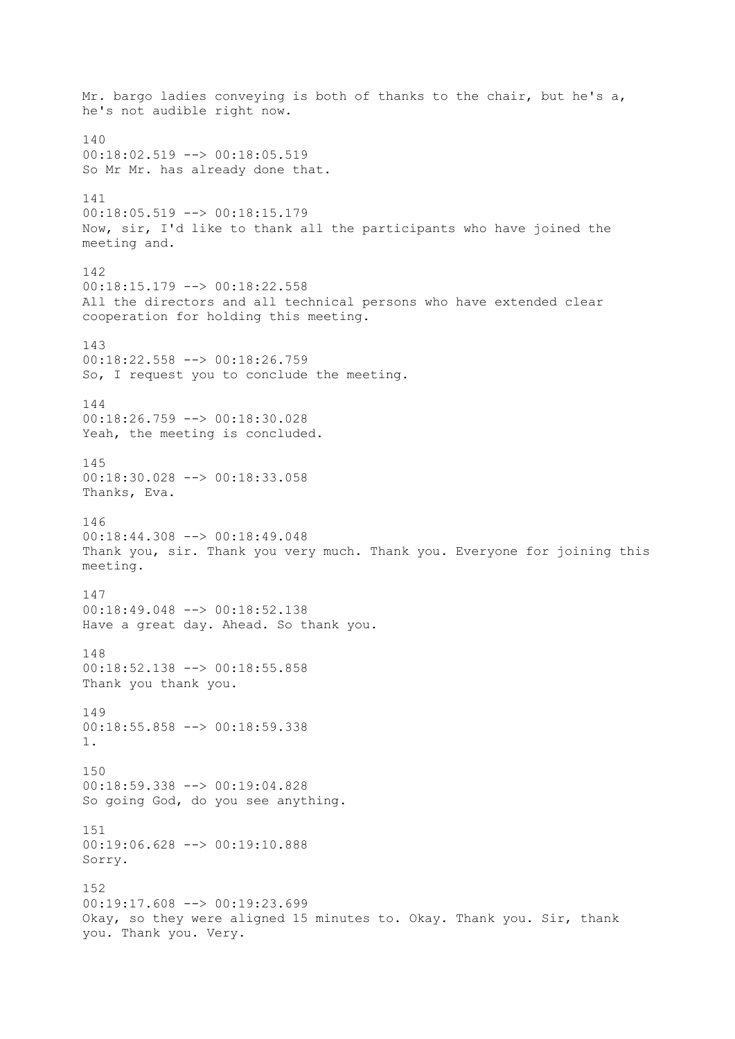Mr. bargo ladies conveying is both of thanks to the chair, but he's a, he's not audible right now. 140 00:18:02.519 --> 00:18:05.519 So Mr Mr. has already done that. 141 00:18:05.519 --> 00:18:15.179 Now, sir, I'd like to thank all the participants who have joined the meeting and. 142 00:18:15.179 --> 00:18:22.558 All the directors and all technical persons who have extended clear cooperation for holding this meeting. 143 00:18:22.558 --> 00:18:26.759 So, I request you to conclude the meeting. 144 00:18:26.759 --> 00:18:30.028 Yeah, the meeting is concluded. 145 00:18:30.028 --> 00:18:33.058 Thanks, Eva. 146 00:18:44.308 --> 00:18:49.048 Thank you, sir. Thank you very much. Thank you. Everyone for joining this meeting. 147 00:18:49.048 --> 00:18:52.138 Have a great day. Ahead. So thank you. 148 00:18:52.138 --> 00:18:55.858 Thank you thank you. 149 00:18:55.858 --> 00:18:59.338 1. 150 00:18:59.338 --> 00:19:04.828 So going God, do you see anything. 151 00:19:06.628 --> 00:19:10.888 Sorry. 152 00:19:17.608 --> 00:19:23.699 Okay, so they were aligned 15 minutes to. Okay. Thank you. Sir, thank you. Thank you. Very.